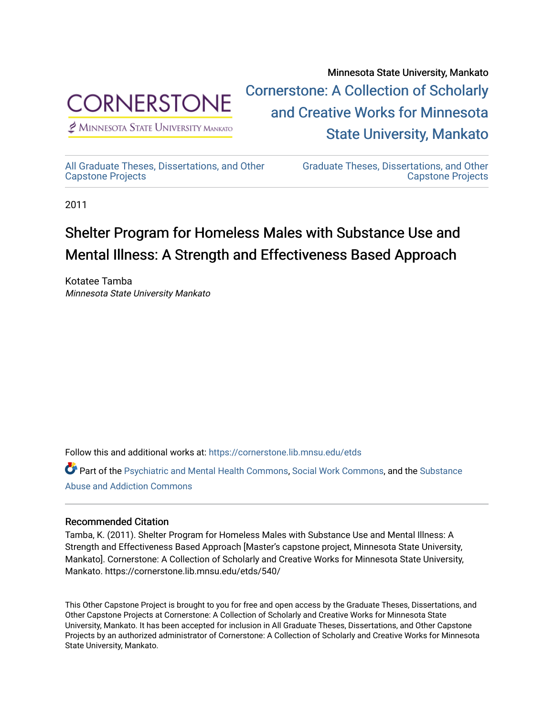

 $<sup>2</sup>$  Minnesota State University Mankato</sup>

Minnesota State University, Mankato [Cornerstone: A Collection of Scholarly](https://cornerstone.lib.mnsu.edu/)  [and Creative Works for Minnesota](https://cornerstone.lib.mnsu.edu/)  [State University, Mankato](https://cornerstone.lib.mnsu.edu/) 

[All Graduate Theses, Dissertations, and Other](https://cornerstone.lib.mnsu.edu/etds)  [Capstone Projects](https://cornerstone.lib.mnsu.edu/etds) 

[Graduate Theses, Dissertations, and Other](https://cornerstone.lib.mnsu.edu/theses_dissertations-capstone)  [Capstone Projects](https://cornerstone.lib.mnsu.edu/theses_dissertations-capstone) 

2011

#### Shelter Program for Homeless Males with Substance Use and Mental Illness: A Strength and Effectiveness Based Approach

Kotatee Tamba Minnesota State University Mankato

Follow this and additional works at: [https://cornerstone.lib.mnsu.edu/etds](https://cornerstone.lib.mnsu.edu/etds?utm_source=cornerstone.lib.mnsu.edu%2Fetds%2F540&utm_medium=PDF&utm_campaign=PDFCoverPages) 

Part of the [Psychiatric and Mental Health Commons,](http://network.bepress.com/hgg/discipline/711?utm_source=cornerstone.lib.mnsu.edu%2Fetds%2F540&utm_medium=PDF&utm_campaign=PDFCoverPages) [Social Work Commons](http://network.bepress.com/hgg/discipline/713?utm_source=cornerstone.lib.mnsu.edu%2Fetds%2F540&utm_medium=PDF&utm_campaign=PDFCoverPages), and the [Substance](http://network.bepress.com/hgg/discipline/710?utm_source=cornerstone.lib.mnsu.edu%2Fetds%2F540&utm_medium=PDF&utm_campaign=PDFCoverPages) [Abuse and Addiction Commons](http://network.bepress.com/hgg/discipline/710?utm_source=cornerstone.lib.mnsu.edu%2Fetds%2F540&utm_medium=PDF&utm_campaign=PDFCoverPages) 

#### Recommended Citation

Tamba, K. (2011). Shelter Program for Homeless Males with Substance Use and Mental Illness: A Strength and Effectiveness Based Approach [Master's capstone project, Minnesota State University, Mankato]. Cornerstone: A Collection of Scholarly and Creative Works for Minnesota State University, Mankato. https://cornerstone.lib.mnsu.edu/etds/540/

This Other Capstone Project is brought to you for free and open access by the Graduate Theses, Dissertations, and Other Capstone Projects at Cornerstone: A Collection of Scholarly and Creative Works for Minnesota State University, Mankato. It has been accepted for inclusion in All Graduate Theses, Dissertations, and Other Capstone Projects by an authorized administrator of Cornerstone: A Collection of Scholarly and Creative Works for Minnesota State University, Mankato.